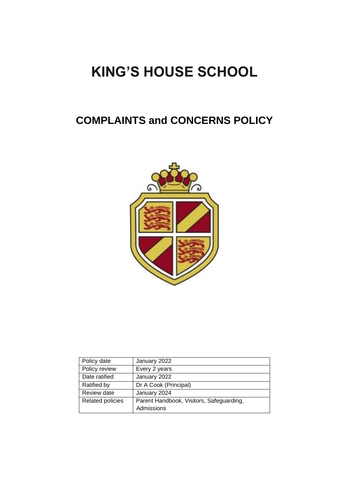# **KING'S HOUSE SCHOOL**

# **COMPLAINTS and CONCERNS POLICY**



| Policy date      | January 2022                             |
|------------------|------------------------------------------|
| Policy review    | Every 2 years                            |
| Date ratified    | January 2022                             |
| Ratified by      | Dr A Cook (Principal)                    |
| Review date      | January 2024                             |
| Related policies | Parent Handbook, Visitors, Safeguarding, |
|                  | Admissions                               |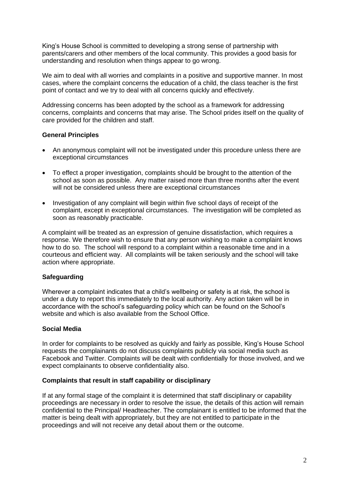King's House School is committed to developing a strong sense of partnership with parents/carers and other members of the local community. This provides a good basis for understanding and resolution when things appear to go wrong.

We aim to deal with all worries and complaints in a positive and supportive manner. In most cases, where the complaint concerns the education of a child, the class teacher is the first point of contact and we try to deal with all concerns quickly and effectively.

Addressing concerns has been adopted by the school as a framework for addressing concerns, complaints and concerns that may arise. The School prides itself on the quality of care provided for the children and staff.

#### **General Principles**

- An anonymous complaint will not be investigated under this procedure unless there are exceptional circumstances
- To effect a proper investigation, complaints should be brought to the attention of the school as soon as possible. Any matter raised more than three months after the event will not be considered unless there are exceptional circumstances
- Investigation of any complaint will begin within five school days of receipt of the complaint, except in exceptional circumstances. The investigation will be completed as soon as reasonably practicable.

A complaint will be treated as an expression of genuine dissatisfaction, which requires a response. We therefore wish to ensure that any person wishing to make a complaint knows how to do so. The school will respond to a complaint within a reasonable time and in a courteous and efficient way. All complaints will be taken seriously and the school will take action where appropriate.

## **Safeguarding**

Wherever a complaint indicates that a child's wellbeing or safety is at risk, the school is under a duty to report this immediately to the local authority. Any action taken will be in accordance with the school's safeguarding policy which can be found on the School's website and which is also available from the School Office.

## **Social Media**

In order for complaints to be resolved as quickly and fairly as possible, King's House School requests the complainants do not discuss complaints publicly via social media such as Facebook and Twitter. Complaints will be dealt with confidentially for those involved, and we expect complainants to observe confidentiality also.

#### **Complaints that result in staff capability or disciplinary**

If at any formal stage of the complaint it is determined that staff disciplinary or capability proceedings are necessary in order to resolve the issue, the details of this action will remain confidential to the Principal/ Headteacher. The complainant is entitled to be informed that the matter is being dealt with appropriately, but they are not entitled to participate in the proceedings and will not receive any detail about them or the outcome.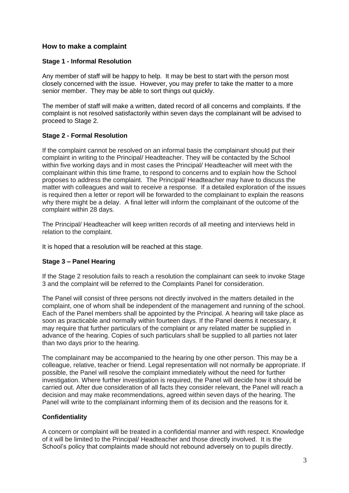# **How to make a complaint**

#### **Stage 1 - Informal Resolution**

Any member of staff will be happy to help. It may be best to start with the person most closely concerned with the issue. However, you may prefer to take the matter to a more senior member. They may be able to sort things out quickly.

The member of staff will make a written, dated record of all concerns and complaints. If the complaint is not resolved satisfactorily within seven days the complainant will be advised to proceed to Stage 2.

## **Stage 2 - Formal Resolution**

If the complaint cannot be resolved on an informal basis the complainant should put their complaint in writing to the Principal/ Headteacher. They will be contacted by the School within five working days and in most cases the Principal/ Headteacher will meet with the complainant within this time frame, to respond to concerns and to explain how the School proposes to address the complaint. The Principal/ Headteacher may have to discuss the matter with colleagues and wait to receive a response. If a detailed exploration of the issues is required then a letter or report will be forwarded to the complainant to explain the reasons why there might be a delay. A final letter will inform the complainant of the outcome of the complaint within 28 days.

The Principal/ Headteacher will keep written records of all meeting and interviews held in relation to the complaint.

It is hoped that a resolution will be reached at this stage.

## **Stage 3 – Panel Hearing**

If the Stage 2 resolution fails to reach a resolution the complainant can seek to invoke Stage 3 and the complaint will be referred to the Complaints Panel for consideration.

The Panel will consist of three persons not directly involved in the matters detailed in the complaint, one of whom shall be independent of the management and running of the school. Each of the Panel members shall be appointed by the Principal. A hearing will take place as soon as practicable and normally within fourteen days. If the Panel deems it necessary, it may require that further particulars of the complaint or any related matter be supplied in advance of the hearing. Copies of such particulars shall be supplied to all parties not later than two days prior to the hearing.

The complainant may be accompanied to the hearing by one other person. This may be a colleague, relative, teacher or friend. Legal representation will not normally be appropriate. If possible, the Panel will resolve the complaint immediately without the need for further investigation. Where further investigation is required, the Panel will decide how it should be carried out. After due consideration of all facts they consider relevant, the Panel will reach a decision and may make recommendations, agreed within seven days of the hearing. The Panel will write to the complainant informing them of its decision and the reasons for it.

## **Confidentiality**

A concern or complaint will be treated in a confidential manner and with respect. Knowledge of it will be limited to the Principal/ Headteacher and those directly involved. It is the School's policy that complaints made should not rebound adversely on to pupils directly.